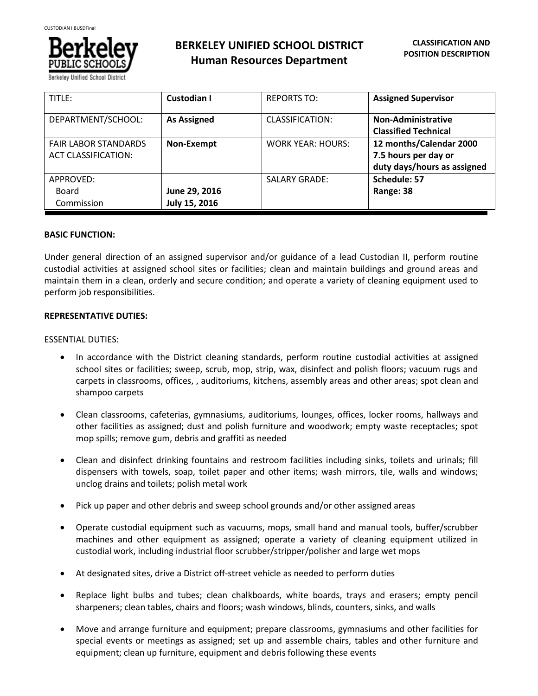

**BERKELEY UNIFIED SCHOOL DISTRICT Human Resources Department**

| TITLE:                                                    | <b>Custodian I</b>             | <b>REPORTS TO:</b>       | <b>Assigned Supervisor</b>                                                     |
|-----------------------------------------------------------|--------------------------------|--------------------------|--------------------------------------------------------------------------------|
| DEPARTMENT/SCHOOL:                                        | <b>As Assigned</b>             | CLASSIFICATION:          | <b>Non-Administrative</b><br><b>Classified Technical</b>                       |
| <b>FAIR LABOR STANDARDS</b><br><b>ACT CLASSIFICATION:</b> | Non-Exempt                     | <b>WORK YEAR: HOURS:</b> | 12 months/Calendar 2000<br>7.5 hours per day or<br>duty days/hours as assigned |
| APPROVED:<br>Board<br>Commission                          | June 29, 2016<br>July 15, 2016 | <b>SALARY GRADE:</b>     | Schedule: 57<br>Range: 38                                                      |

## **BASIC FUNCTION:**

Under general direction of an assigned supervisor and/or guidance of a lead Custodian II, perform routine custodial activities at assigned school sites or facilities; clean and maintain buildings and ground areas and maintain them in a clean, orderly and secure condition; and operate a variety of cleaning equipment used to perform job responsibilities.

#### **REPRESENTATIVE DUTIES:**

#### ESSENTIAL DUTIES:

- In accordance with the District cleaning standards, perform routine custodial activities at assigned school sites or facilities; sweep, scrub, mop, strip, wax, disinfect and polish floors; vacuum rugs and carpets in classrooms, offices, , auditoriums, kitchens, assembly areas and other areas; spot clean and shampoo carpets
- Clean classrooms, cafeterias, gymnasiums, auditoriums, lounges, offices, locker rooms, hallways and other facilities as assigned; dust and polish furniture and woodwork; empty waste receptacles; spot mop spills; remove gum, debris and graffiti as needed
- Clean and disinfect drinking fountains and restroom facilities including sinks, toilets and urinals; fill dispensers with towels, soap, toilet paper and other items; wash mirrors, tile, walls and windows; unclog drains and toilets; polish metal work
- Pick up paper and other debris and sweep school grounds and/or other assigned areas
- Operate custodial equipment such as vacuums, mops, small hand and manual tools, buffer/scrubber machines and other equipment as assigned; operate a variety of cleaning equipment utilized in custodial work, including industrial floor scrubber/stripper/polisher and large wet mops
- At designated sites, drive a District off-street vehicle as needed to perform duties
- Replace light bulbs and tubes; clean chalkboards, white boards, trays and erasers; empty pencil sharpeners; clean tables, chairs and floors; wash windows, blinds, counters, sinks, and walls
- Move and arrange furniture and equipment; prepare classrooms, gymnasiums and other facilities for special events or meetings as assigned; set up and assemble chairs, tables and other furniture and equipment; clean up furniture, equipment and debris following these events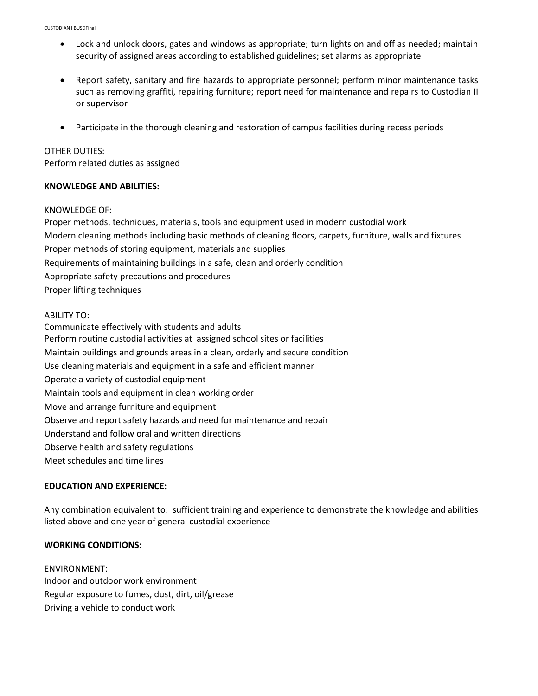- Lock and unlock doors, gates and windows as appropriate; turn lights on and off as needed; maintain security of assigned areas according to established guidelines; set alarms as appropriate
- Report safety, sanitary and fire hazards to appropriate personnel; perform minor maintenance tasks such as removing graffiti, repairing furniture; report need for maintenance and repairs to Custodian II or supervisor
- Participate in the thorough cleaning and restoration of campus facilities during recess periods

### OTHER DUTIES:

Perform related duties as assigned

## **KNOWLEDGE AND ABILITIES:**

#### KNOWLEDGE OF:

Proper methods, techniques, materials, tools and equipment used in modern custodial work Modern cleaning methods including basic methods of cleaning floors, carpets, furniture, walls and fixtures Proper methods of storing equipment, materials and supplies Requirements of maintaining buildings in a safe, clean and orderly condition Appropriate safety precautions and procedures Proper lifting techniques

#### ABILITY TO:

Communicate effectively with students and adults Perform routine custodial activities at assigned school sites or facilities Maintain buildings and grounds areas in a clean, orderly and secure condition Use cleaning materials and equipment in a safe and efficient manner Operate a variety of custodial equipment Maintain tools and equipment in clean working order Move and arrange furniture and equipment Observe and report safety hazards and need for maintenance and repair Understand and follow oral and written directions Observe health and safety regulations Meet schedules and time lines

# **EDUCATION AND EXPERIENCE:**

Any combination equivalent to: sufficient training and experience to demonstrate the knowledge and abilities listed above and one year of general custodial experience

## **WORKING CONDITIONS:**

ENVIRONMENT: Indoor and outdoor work environment Regular exposure to fumes, dust, dirt, oil/grease Driving a vehicle to conduct work